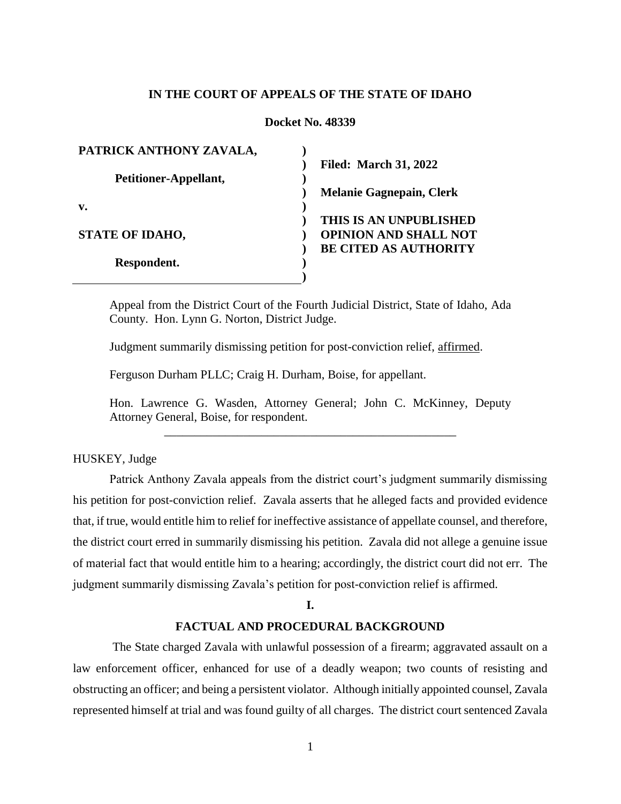# **IN THE COURT OF APPEALS OF THE STATE OF IDAHO**

# **Docket No. 48339**

| PATRICK ANTHONY ZAVALA, |                                 |
|-------------------------|---------------------------------|
|                         | <b>Filed: March 31, 2022</b>    |
| Petitioner-Appellant,   |                                 |
|                         | <b>Melanie Gagnepain, Clerk</b> |
| v.                      |                                 |
|                         | THIS IS AN UNPUBLISHED          |
| <b>STATE OF IDAHO,</b>  | <b>OPINION AND SHALL NOT</b>    |
|                         | <b>BE CITED AS AUTHORITY</b>    |
| Respondent.             |                                 |
|                         |                                 |

Appeal from the District Court of the Fourth Judicial District, State of Idaho, Ada County. Hon. Lynn G. Norton, District Judge.

Judgment summarily dismissing petition for post-conviction relief, affirmed.

Ferguson Durham PLLC; Craig H. Durham, Boise, for appellant.

Hon. Lawrence G. Wasden, Attorney General; John C. McKinney, Deputy Attorney General, Boise, for respondent. \_\_\_\_\_\_\_\_\_\_\_\_\_\_\_\_\_\_\_\_\_\_\_\_\_\_\_\_\_\_\_\_\_\_\_\_\_\_\_\_\_\_\_\_\_\_\_\_

# HUSKEY, Judge

Patrick Anthony Zavala appeals from the district court's judgment summarily dismissing his petition for post-conviction relief. Zavala asserts that he alleged facts and provided evidence that, if true, would entitle him to relief for ineffective assistance of appellate counsel, and therefore, the district court erred in summarily dismissing his petition. Zavala did not allege a genuine issue of material fact that would entitle him to a hearing; accordingly, the district court did not err. The judgment summarily dismissing Zavala's petition for post-conviction relief is affirmed.

### **I.**

# **FACTUAL AND PROCEDURAL BACKGROUND**

The State charged Zavala with unlawful possession of a firearm; aggravated assault on a law enforcement officer, enhanced for use of a deadly weapon; two counts of resisting and obstructing an officer; and being a persistent violator. Although initially appointed counsel, Zavala represented himself at trial and was found guilty of all charges. The district court sentenced Zavala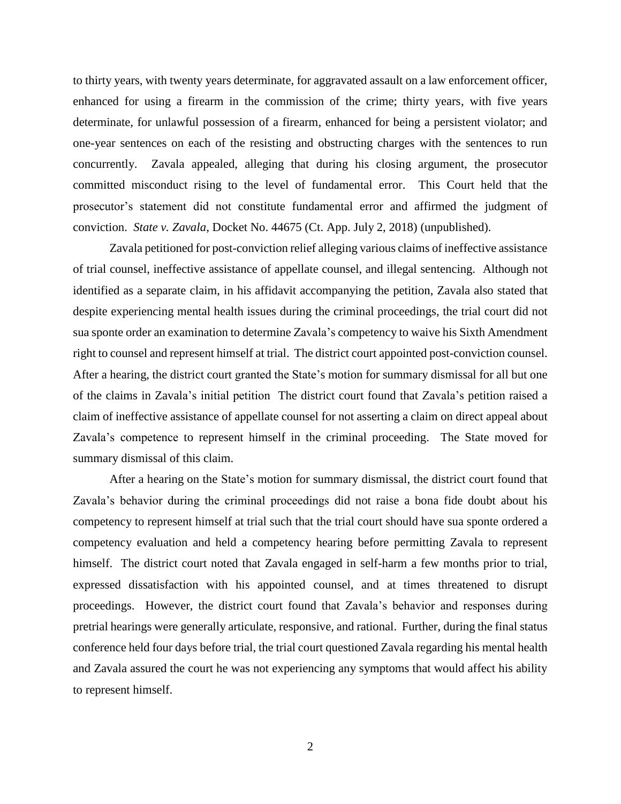to thirty years, with twenty years determinate, for aggravated assault on a law enforcement officer, enhanced for using a firearm in the commission of the crime; thirty years, with five years determinate, for unlawful possession of a firearm, enhanced for being a persistent violator; and one-year sentences on each of the resisting and obstructing charges with the sentences to run concurrently. Zavala appealed, alleging that during his closing argument, the prosecutor committed misconduct rising to the level of fundamental error. This Court held that the prosecutor's statement did not constitute fundamental error and affirmed the judgment of conviction. *State v. Zavala*, Docket No. 44675 (Ct. App. July 2, 2018) (unpublished).

Zavala petitioned for post-conviction relief alleging various claims of ineffective assistance of trial counsel, ineffective assistance of appellate counsel, and illegal sentencing. Although not identified as a separate claim, in his affidavit accompanying the petition, Zavala also stated that despite experiencing mental health issues during the criminal proceedings, the trial court did not sua sponte order an examination to determine Zavala's competency to waive his Sixth Amendment right to counsel and represent himself at trial. The district court appointed post-conviction counsel. After a hearing, the district court granted the State's motion for summary dismissal for all but one of the claims in Zavala's initial petition The district court found that Zavala's petition raised a claim of ineffective assistance of appellate counsel for not asserting a claim on direct appeal about Zavala's competence to represent himself in the criminal proceeding. The State moved for summary dismissal of this claim.

After a hearing on the State's motion for summary dismissal, the district court found that Zavala's behavior during the criminal proceedings did not raise a bona fide doubt about his competency to represent himself at trial such that the trial court should have sua sponte ordered a competency evaluation and held a competency hearing before permitting Zavala to represent himself. The district court noted that Zavala engaged in self-harm a few months prior to trial, expressed dissatisfaction with his appointed counsel, and at times threatened to disrupt proceedings. However, the district court found that Zavala's behavior and responses during pretrial hearings were generally articulate, responsive, and rational. Further, during the final status conference held four days before trial, the trial court questioned Zavala regarding his mental health and Zavala assured the court he was not experiencing any symptoms that would affect his ability to represent himself.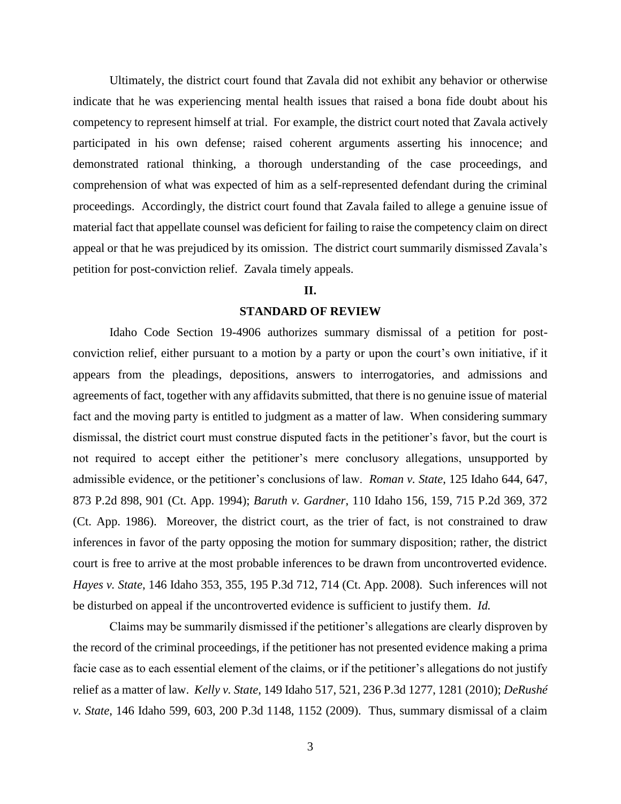Ultimately, the district court found that Zavala did not exhibit any behavior or otherwise indicate that he was experiencing mental health issues that raised a bona fide doubt about his competency to represent himself at trial. For example, the district court noted that Zavala actively participated in his own defense; raised coherent arguments asserting his innocence; and demonstrated rational thinking, a thorough understanding of the case proceedings, and comprehension of what was expected of him as a self-represented defendant during the criminal proceedings. Accordingly, the district court found that Zavala failed to allege a genuine issue of material fact that appellate counsel was deficient for failing to raise the competency claim on direct appeal or that he was prejudiced by its omission. The district court summarily dismissed Zavala's petition for post-conviction relief. Zavala timely appeals.

### **II.**

#### **STANDARD OF REVIEW**

Idaho Code Section 19-4906 authorizes summary dismissal of a petition for postconviction relief, either pursuant to a motion by a party or upon the court's own initiative, if it appears from the pleadings, depositions, answers to interrogatories, and admissions and agreements of fact, together with any affidavits submitted, that there is no genuine issue of material fact and the moving party is entitled to judgment as a matter of law. When considering summary dismissal, the district court must construe disputed facts in the petitioner's favor, but the court is not required to accept either the petitioner's mere conclusory allegations, unsupported by admissible evidence, or the petitioner's conclusions of law. *Roman v. State*, 125 Idaho 644, 647, 873 P.2d 898, 901 (Ct. App. 1994); *Baruth v. Gardner*, 110 Idaho 156, 159, 715 P.2d 369, 372 (Ct. App. 1986). Moreover, the district court, as the trier of fact, is not constrained to draw inferences in favor of the party opposing the motion for summary disposition; rather, the district court is free to arrive at the most probable inferences to be drawn from uncontroverted evidence. *Hayes v. State*, 146 Idaho 353, 355, 195 P.3d 712, 714 (Ct. App. 2008). Such inferences will not be disturbed on appeal if the uncontroverted evidence is sufficient to justify them. *Id.*

Claims may be summarily dismissed if the petitioner's allegations are clearly disproven by the record of the criminal proceedings, if the petitioner has not presented evidence making a prima facie case as to each essential element of the claims, or if the petitioner's allegations do not justify relief as a matter of law. *Kelly v. State*, 149 Idaho 517, 521, 236 P.3d 1277, 1281 (2010); *DeRushé v. State*, 146 Idaho 599, 603, 200 P.3d 1148, 1152 (2009). Thus, summary dismissal of a claim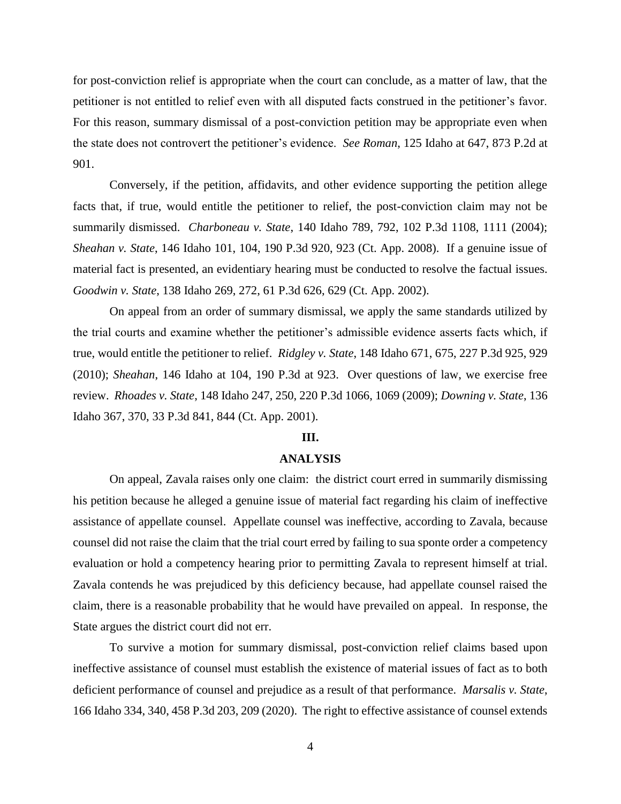for post-conviction relief is appropriate when the court can conclude, as a matter of law, that the petitioner is not entitled to relief even with all disputed facts construed in the petitioner's favor. For this reason, summary dismissal of a post-conviction petition may be appropriate even when the state does not controvert the petitioner's evidence. *See Roman*, 125 Idaho at 647, 873 P.2d at 901.

Conversely, if the petition, affidavits, and other evidence supporting the petition allege facts that, if true, would entitle the petitioner to relief, the post-conviction claim may not be summarily dismissed. *Charboneau v. State*, 140 Idaho 789, 792, 102 P.3d 1108, 1111 (2004); *Sheahan v. State*, 146 Idaho 101, 104, 190 P.3d 920, 923 (Ct. App. 2008). If a genuine issue of material fact is presented, an evidentiary hearing must be conducted to resolve the factual issues. *Goodwin v. State*, 138 Idaho 269, 272, 61 P.3d 626, 629 (Ct. App. 2002).

On appeal from an order of summary dismissal, we apply the same standards utilized by the trial courts and examine whether the petitioner's admissible evidence asserts facts which, if true, would entitle the petitioner to relief. *Ridgley v. State*, 148 Idaho 671, 675, 227 P.3d 925, 929 (2010); *Sheahan*, 146 Idaho at 104, 190 P.3d at 923. Over questions of law, we exercise free review. *Rhoades v. State*, 148 Idaho 247, 250, 220 P.3d 1066, 1069 (2009); *Downing v. State*, 136 Idaho 367, 370, 33 P.3d 841, 844 (Ct. App. 2001).

### **III.**

# **ANALYSIS**

On appeal, Zavala raises only one claim: the district court erred in summarily dismissing his petition because he alleged a genuine issue of material fact regarding his claim of ineffective assistance of appellate counsel. Appellate counsel was ineffective, according to Zavala, because counsel did not raise the claim that the trial court erred by failing to sua sponte order a competency evaluation or hold a competency hearing prior to permitting Zavala to represent himself at trial. Zavala contends he was prejudiced by this deficiency because, had appellate counsel raised the claim, there is a reasonable probability that he would have prevailed on appeal. In response, the State argues the district court did not err.

To survive a motion for summary dismissal, post-conviction relief claims based upon ineffective assistance of counsel must establish the existence of material issues of fact as to both deficient performance of counsel and prejudice as a result of that performance. *Marsalis v. State*, 166 Idaho 334, 340, 458 P.3d 203, 209 (2020). The right to effective assistance of counsel extends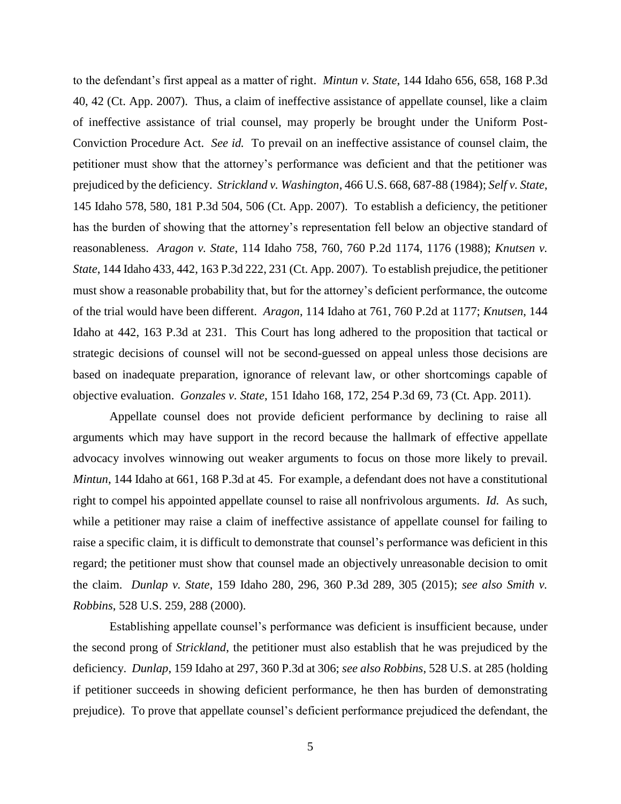to the defendant's first appeal as a matter of right. *Mintun v. State*, 144 Idaho 656, 658, 168 P.3d 40, 42 (Ct. App. 2007). Thus, a claim of ineffective assistance of appellate counsel, like a claim of ineffective assistance of trial counsel, may properly be brought under the Uniform Post-Conviction Procedure Act. *See id.* To prevail on an ineffective assistance of counsel claim, the petitioner must show that the attorney's performance was deficient and that the petitioner was prejudiced by the deficiency. *Strickland v. Washington*, 466 U.S. 668, 687-88 (1984); *Self v. State*, 145 Idaho 578, 580, 181 P.3d 504, 506 (Ct. App. 2007). To establish a deficiency, the petitioner has the burden of showing that the attorney's representation fell below an objective standard of reasonableness. *Aragon v. State*, 114 Idaho 758, 760, 760 P.2d 1174, 1176 (1988); *Knutsen v. State*, 144 Idaho 433, 442, 163 P.3d 222, 231 (Ct. App. 2007). To establish prejudice, the petitioner must show a reasonable probability that, but for the attorney's deficient performance, the outcome of the trial would have been different. *Aragon*, 114 Idaho at 761, 760 P.2d at 1177; *Knutsen*, 144 Idaho at 442, 163 P.3d at 231. This Court has long adhered to the proposition that tactical or strategic decisions of counsel will not be second-guessed on appeal unless those decisions are based on inadequate preparation, ignorance of relevant law, or other shortcomings capable of objective evaluation. *Gonzales v. State*, 151 Idaho 168, 172, 254 P.3d 69, 73 (Ct. App. 2011).

Appellate counsel does not provide deficient performance by declining to raise all arguments which may have support in the record because the hallmark of effective appellate advocacy involves winnowing out weaker arguments to focus on those more likely to prevail. *Mintun*, 144 Idaho at 661, 168 P.3d at 45. For example, a defendant does not have a constitutional right to compel his appointed appellate counsel to raise all nonfrivolous arguments. *Id.* As such, while a petitioner may raise a claim of ineffective assistance of appellate counsel for failing to raise a specific claim, it is difficult to demonstrate that counsel's performance was deficient in this regard; the petitioner must show that counsel made an objectively unreasonable decision to omit the claim. *Dunlap v. State*, 159 Idaho 280, 296, 360 P.3d 289, 305 (2015); *see also Smith v. Robbins*, 528 U.S. 259, 288 (2000).

Establishing appellate counsel's performance was deficient is insufficient because, under the second prong of *Strickland*, the petitioner must also establish that he was prejudiced by the deficiency. *Dunlap*, 159 Idaho at 297, 360 P.3d at 306; *see also Robbins*, 528 U.S. at 285 (holding if petitioner succeeds in showing deficient performance, he then has burden of demonstrating prejudice). To prove that appellate counsel's deficient performance prejudiced the defendant, the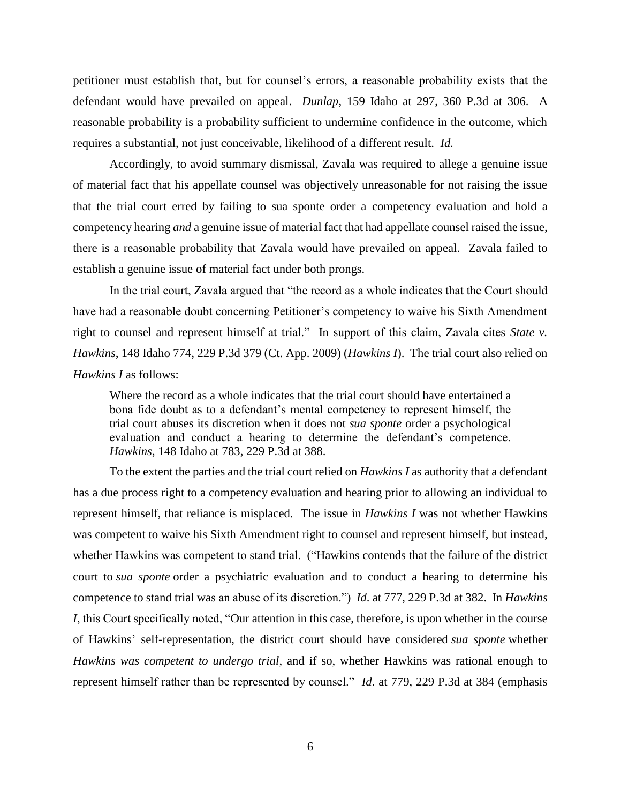petitioner must establish that, but for counsel's errors, a reasonable probability exists that the defendant would have prevailed on appeal. *Dunlap*, 159 Idaho at 297, 360 P.3d at 306. A reasonable probability is a probability sufficient to undermine confidence in the outcome, which requires a substantial, not just conceivable, likelihood of a different result. *Id.*

Accordingly, to avoid summary dismissal, Zavala was required to allege a genuine issue of material fact that his appellate counsel was objectively unreasonable for not raising the issue that the trial court erred by failing to sua sponte order a competency evaluation and hold a competency hearing *and* a genuine issue of material fact that had appellate counsel raised the issue, there is a reasonable probability that Zavala would have prevailed on appeal. Zavala failed to establish a genuine issue of material fact under both prongs.

In the trial court, Zavala argued that "the record as a whole indicates that the Court should have had a reasonable doubt concerning Petitioner's competency to waive his Sixth Amendment right to counsel and represent himself at trial." In support of this claim, Zavala cites *State v. Hawkins*, 148 Idaho 774, 229 P.3d 379 (Ct. App. 2009) (*Hawkins I*). The trial court also relied on *Hawkins I* as follows:

Where the record as a whole indicates that the trial court should have entertained a bona fide doubt as to a defendant's mental competency to represent himself, the trial court abuses its discretion when it does not *sua sponte* order a psychological evaluation and conduct a hearing to determine the defendant's competence. *Hawkins*, 148 Idaho at 783, 229 P.3d at 388.

To the extent the parties and the trial court relied on *Hawkins I* as authority that a defendant has a due process right to a competency evaluation and hearing prior to allowing an individual to represent himself, that reliance is misplaced. The issue in *Hawkins I* was not whether Hawkins was competent to waive his Sixth Amendment right to counsel and represent himself, but instead, whether Hawkins was competent to stand trial. ("Hawkins contends that the failure of the district court to *sua sponte* order a psychiatric evaluation and to conduct a hearing to determine his competence to stand trial was an abuse of its discretion.") *Id*. at 777, 229 P.3d at 382. In *Hawkins I*, this Court specifically noted, "Our attention in this case, therefore, is upon whether in the course of Hawkins' self-representation, the district court should have considered *sua sponte* whether *Hawkins was competent to undergo trial*, and if so, whether Hawkins was rational enough to represent himself rather than be represented by counsel." *Id*. at 779, 229 P.3d at 384 (emphasis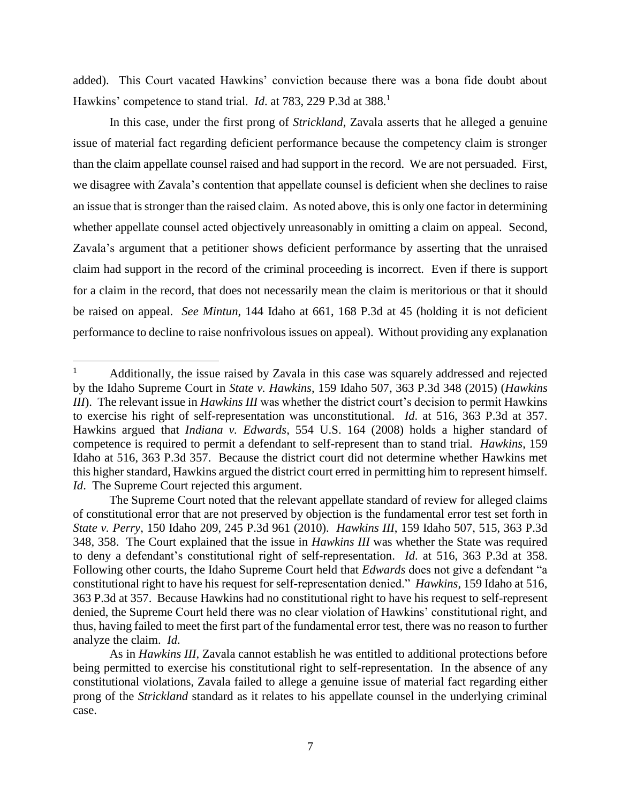added). This Court vacated Hawkins' conviction because there was a bona fide doubt about Hawkins' competence to stand trial. *Id.* at 783, 229 P.3d at 388.<sup>1</sup>

In this case, under the first prong of *Strickland*, Zavala asserts that he alleged a genuine issue of material fact regarding deficient performance because the competency claim is stronger than the claim appellate counsel raised and had support in the record. We are not persuaded. First, we disagree with Zavala's contention that appellate counsel is deficient when she declines to raise an issue that is stronger than the raised claim. As noted above, this is only one factor in determining whether appellate counsel acted objectively unreasonably in omitting a claim on appeal. Second, Zavala's argument that a petitioner shows deficient performance by asserting that the unraised claim had support in the record of the criminal proceeding is incorrect. Even if there is support for a claim in the record, that does not necessarily mean the claim is meritorious or that it should be raised on appeal. *See Mintun*, 144 Idaho at 661, 168 P.3d at 45 (holding it is not deficient performance to decline to raise nonfrivolous issues on appeal). Without providing any explanation

 $\mathbf{1}$ <sup>1</sup> Additionally, the issue raised by Zavala in this case was squarely addressed and rejected by the Idaho Supreme Court in *State v. Hawkins*, 159 Idaho 507, 363 P.3d 348 (2015) (*Hawkins III*). The relevant issue in *Hawkins III* was whether the district court's decision to permit Hawkins to exercise his right of self-representation was unconstitutional. *Id*. at 516, 363 P.3d at 357. Hawkins argued that *Indiana v. Edwards*, 554 U.S. 164 (2008) holds a higher standard of competence is required to permit a defendant to self-represent than to stand trial. *Hawkins*, 159 Idaho at 516, 363 P.3d 357. Because the district court did not determine whether Hawkins met this higher standard, Hawkins argued the district court erred in permitting him to represent himself. *Id.* The Supreme Court rejected this argument.

The Supreme Court noted that the relevant appellate standard of review for alleged claims of constitutional error that are not preserved by objection is the fundamental error test set forth in *State v. Perry*, 150 Idaho 209, 245 P.3d 961 (2010). *Hawkins III*, 159 Idaho 507, 515, 363 P.3d 348, 358. The Court explained that the issue in *Hawkins III* was whether the State was required to deny a defendant's constitutional right of self-representation. *Id*. at 516, 363 P.3d at 358. Following other courts, the Idaho Supreme Court held that *Edwards* does not give a defendant "a constitutional right to have his request for self-representation denied." *Hawkins*, 159 Idaho at 516, 363 P.3d at 357. Because Hawkins had no constitutional right to have his request to self-represent denied, the Supreme Court held there was no clear violation of Hawkins' constitutional right, and thus, having failed to meet the first part of the fundamental error test, there was no reason to further analyze the claim. *Id*.

As in *Hawkins III*, Zavala cannot establish he was entitled to additional protections before being permitted to exercise his constitutional right to self-representation. In the absence of any constitutional violations, Zavala failed to allege a genuine issue of material fact regarding either prong of the *Strickland* standard as it relates to his appellate counsel in the underlying criminal case.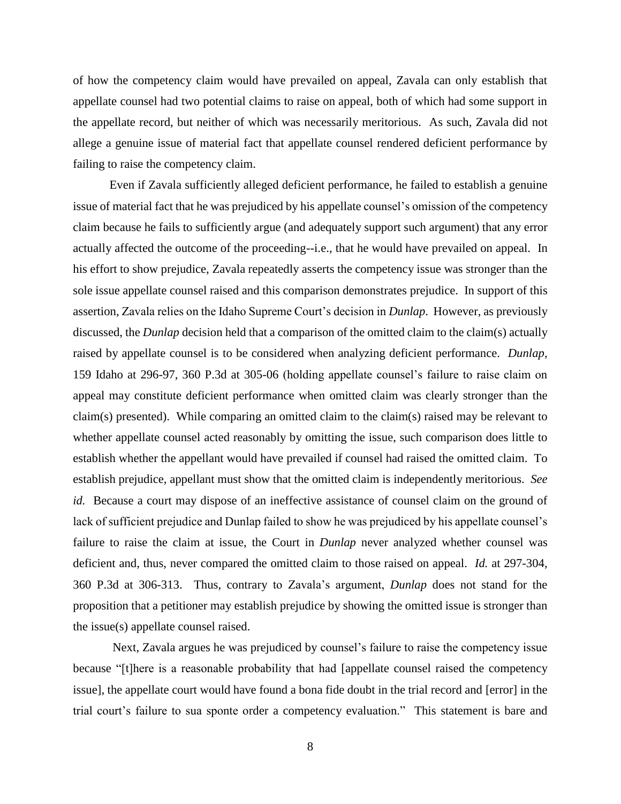of how the competency claim would have prevailed on appeal, Zavala can only establish that appellate counsel had two potential claims to raise on appeal, both of which had some support in the appellate record, but neither of which was necessarily meritorious. As such, Zavala did not allege a genuine issue of material fact that appellate counsel rendered deficient performance by failing to raise the competency claim.

Even if Zavala sufficiently alleged deficient performance, he failed to establish a genuine issue of material fact that he was prejudiced by his appellate counsel's omission of the competency claim because he fails to sufficiently argue (and adequately support such argument) that any error actually affected the outcome of the proceeding--i.e., that he would have prevailed on appeal. In his effort to show prejudice, Zavala repeatedly asserts the competency issue was stronger than the sole issue appellate counsel raised and this comparison demonstrates prejudice. In support of this assertion, Zavala relies on the Idaho Supreme Court's decision in *Dunlap*. However, as previously discussed, the *Dunlap* decision held that a comparison of the omitted claim to the claim(s) actually raised by appellate counsel is to be considered when analyzing deficient performance. *Dunlap*, 159 Idaho at 296-97, 360 P.3d at 305-06 (holding appellate counsel's failure to raise claim on appeal may constitute deficient performance when omitted claim was clearly stronger than the claim(s) presented). While comparing an omitted claim to the claim(s) raised may be relevant to whether appellate counsel acted reasonably by omitting the issue, such comparison does little to establish whether the appellant would have prevailed if counsel had raised the omitted claim. To establish prejudice, appellant must show that the omitted claim is independently meritorious. *See id.* Because a court may dispose of an ineffective assistance of counsel claim on the ground of lack of sufficient prejudice and Dunlap failed to show he was prejudiced by his appellate counsel's failure to raise the claim at issue, the Court in *Dunlap* never analyzed whether counsel was deficient and, thus, never compared the omitted claim to those raised on appeal. *Id.* at 297-304, 360 P.3d at 306-313. Thus, contrary to Zavala's argument, *Dunlap* does not stand for the proposition that a petitioner may establish prejudice by showing the omitted issue is stronger than the issue(s) appellate counsel raised.

Next, Zavala argues he was prejudiced by counsel's failure to raise the competency issue because "[t]here is a reasonable probability that had [appellate counsel raised the competency issue], the appellate court would have found a bona fide doubt in the trial record and [error] in the trial court's failure to sua sponte order a competency evaluation." This statement is bare and